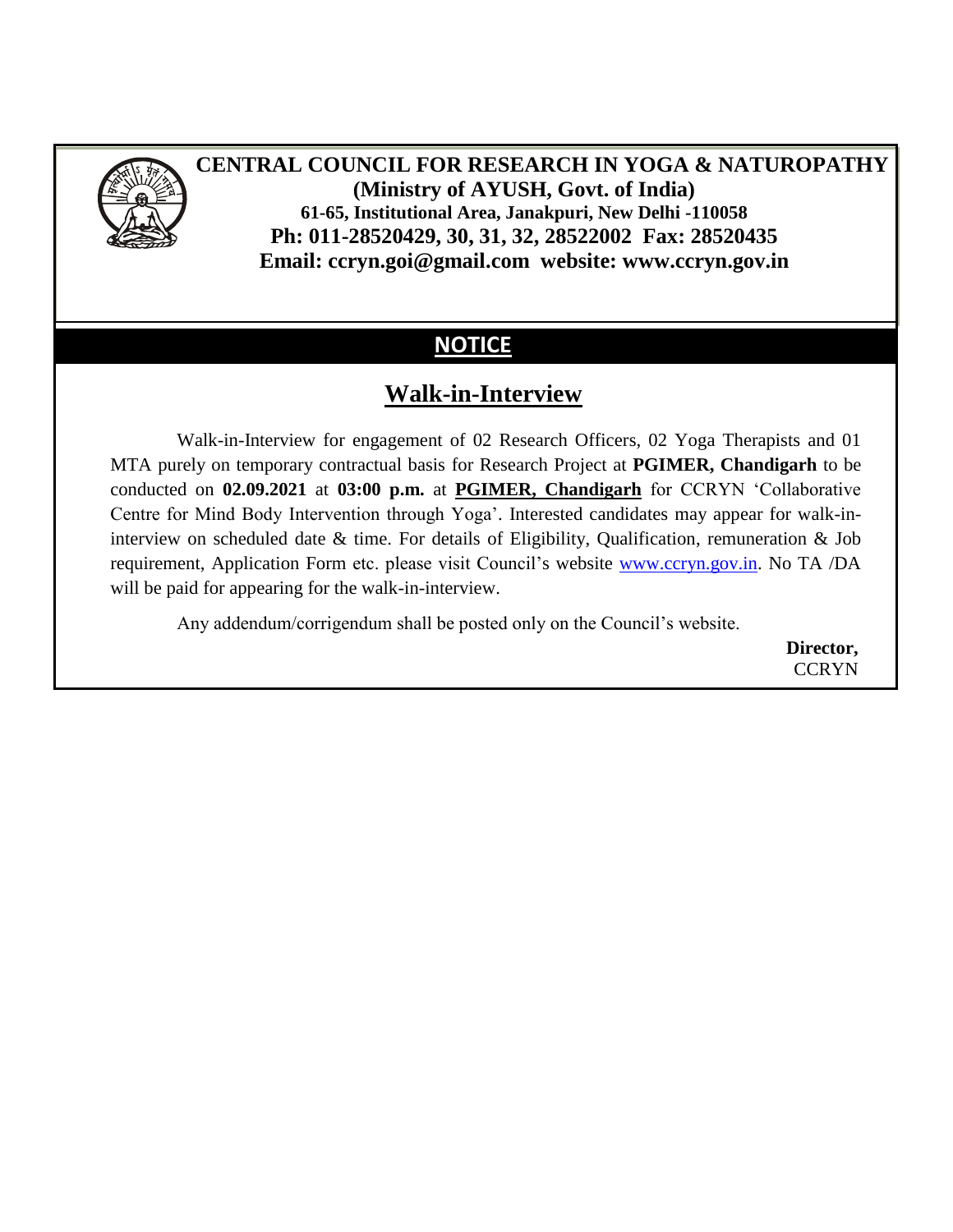

# **CENTRAL COUNCIL FOR RESEARCH IN YOGA & NATUROPATHY (Ministry of AYUSH, Govt. of India) 61-65, Institutional Area, Janakpuri, New Delhi -110058 Ph: 011-28520429, 30, 31, 32, 28522002 Fax: 28520435 Email: ccryn.goi@gmail.com website: www.ccryn.gov.in**

# **NOTICE**

# **Walk-in-Interview**

Walk-in-Interview for engagement of 02 Research Officers, 02 Yoga Therapists and 01 MTA purely on temporary contractual basis for Research Project at **PGIMER, Chandigarh** to be conducted on **02.09.2021** at **03:00 p.m.** at **PGIMER, Chandigarh** for CCRYN "Collaborative Centre for Mind Body Intervention through Yoga". Interested candidates may appear for walk-ininterview on scheduled date & time. For details of Eligibility, Qualification, remuneration & Job requirement, Application Form etc. please visit Council"s website [www.ccryn.gov.in.](http://www.ccryn.gov.in/) No TA /DA will be paid for appearing for the walk-in-interview.

Any addendum/corrigendum shall be posted only on the Council"s website.

**Director, CCRYN**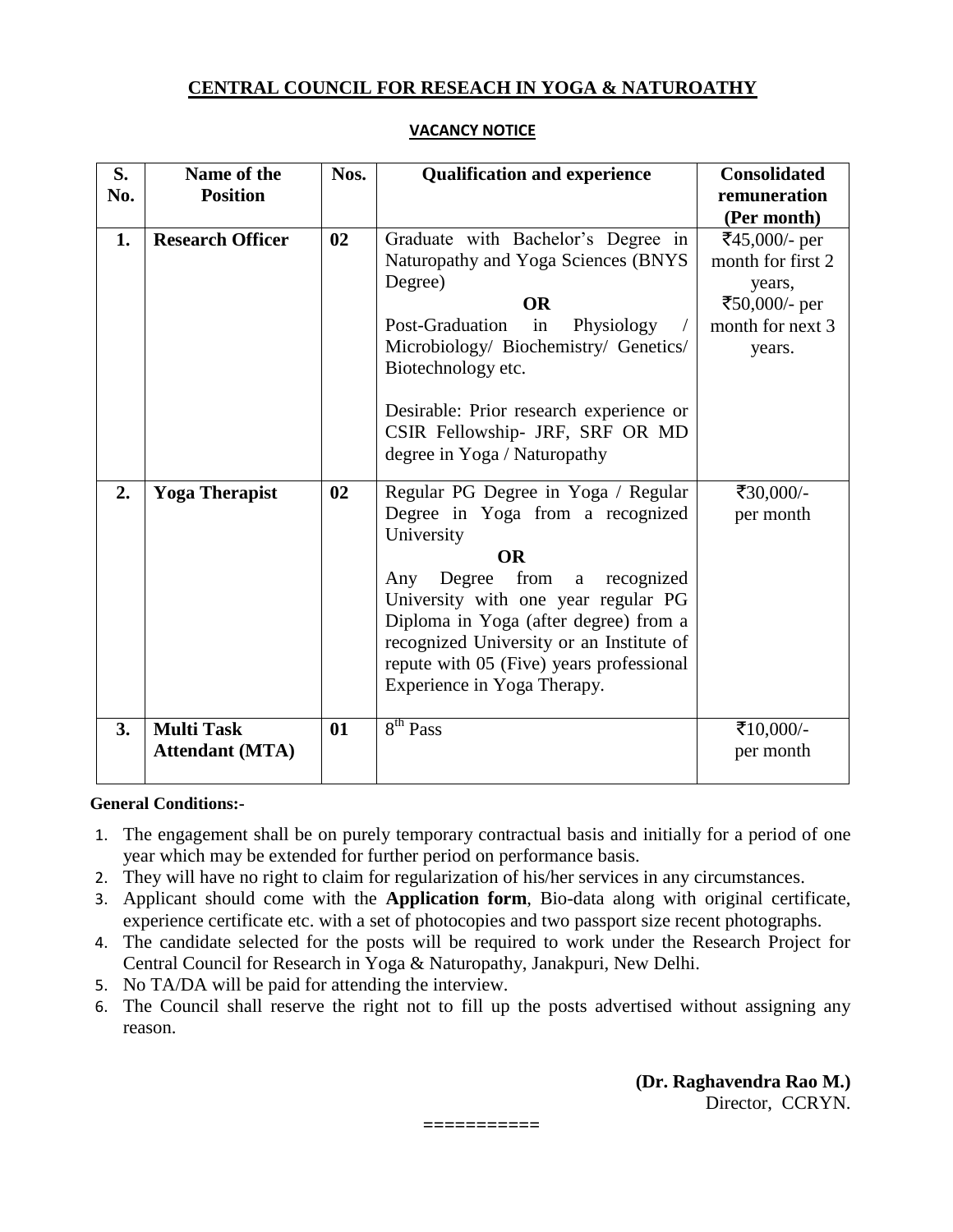### **CENTRAL COUNCIL FOR RESEACH IN YOGA & NATUROATHY**

| S.<br>No. | Name of the<br><b>Position</b>              | Nos. | <b>Qualification and experience</b>                                                                                                                                                                                                                                                                                                                   | <b>Consolidated</b><br>remuneration<br>(Per month)                                          |
|-----------|---------------------------------------------|------|-------------------------------------------------------------------------------------------------------------------------------------------------------------------------------------------------------------------------------------------------------------------------------------------------------------------------------------------------------|---------------------------------------------------------------------------------------------|
| 1.        | <b>Research Officer</b>                     | 02   | Graduate with Bachelor's Degree in<br>Naturopathy and Yoga Sciences (BNYS<br>Degree)<br><b>OR</b><br>Post-Graduation<br>in<br>Physiology<br>Microbiology/ Biochemistry/ Genetics/<br>Biotechnology etc.<br>Desirable: Prior research experience or<br>CSIR Fellowship- JRF, SRF OR MD<br>degree in Yoga / Naturopathy                                 | ₹45,000/- per<br>month for first 2<br>years,<br>₹50,000/- per<br>month for next 3<br>years. |
| 2.        | <b>Yoga Therapist</b>                       | 02   | Regular PG Degree in Yoga / Regular<br>Degree in Yoga from a recognized<br>University<br><b>OR</b><br>from<br>Degree<br>recognized<br>Any<br>a<br>University with one year regular PG<br>Diploma in Yoga (after degree) from a<br>recognized University or an Institute of<br>repute with 05 (Five) years professional<br>Experience in Yoga Therapy. | ₹30,000/-<br>per month                                                                      |
| 3.        | <b>Multi Task</b><br><b>Attendant (MTA)</b> | 01   | 8 <sup>th</sup> Pass                                                                                                                                                                                                                                                                                                                                  | ₹10,000/-<br>per month                                                                      |

#### **VACANCY NOTICE**

#### **General Conditions:-**

- 1. The engagement shall be on purely temporary contractual basis and initially for a period of one year which may be extended for further period on performance basis.
- 2. They will have no right to claim for regularization of his/her services in any circumstances.
- 3. Applicant should come with the **Application form**, Bio-data along with original certificate, experience certificate etc. with a set of photocopies and two passport size recent photographs.
- 4. The candidate selected for the posts will be required to work under the Research Project for Central Council for Research in Yoga & Naturopathy, Janakpuri, New Delhi.
- 5. No TA/DA will be paid for attending the interview.
- 6. The Council shall reserve the right not to fill up the posts advertised without assigning any reason.

**===========**

**(Dr. Raghavendra Rao M.)** Director, CCRYN.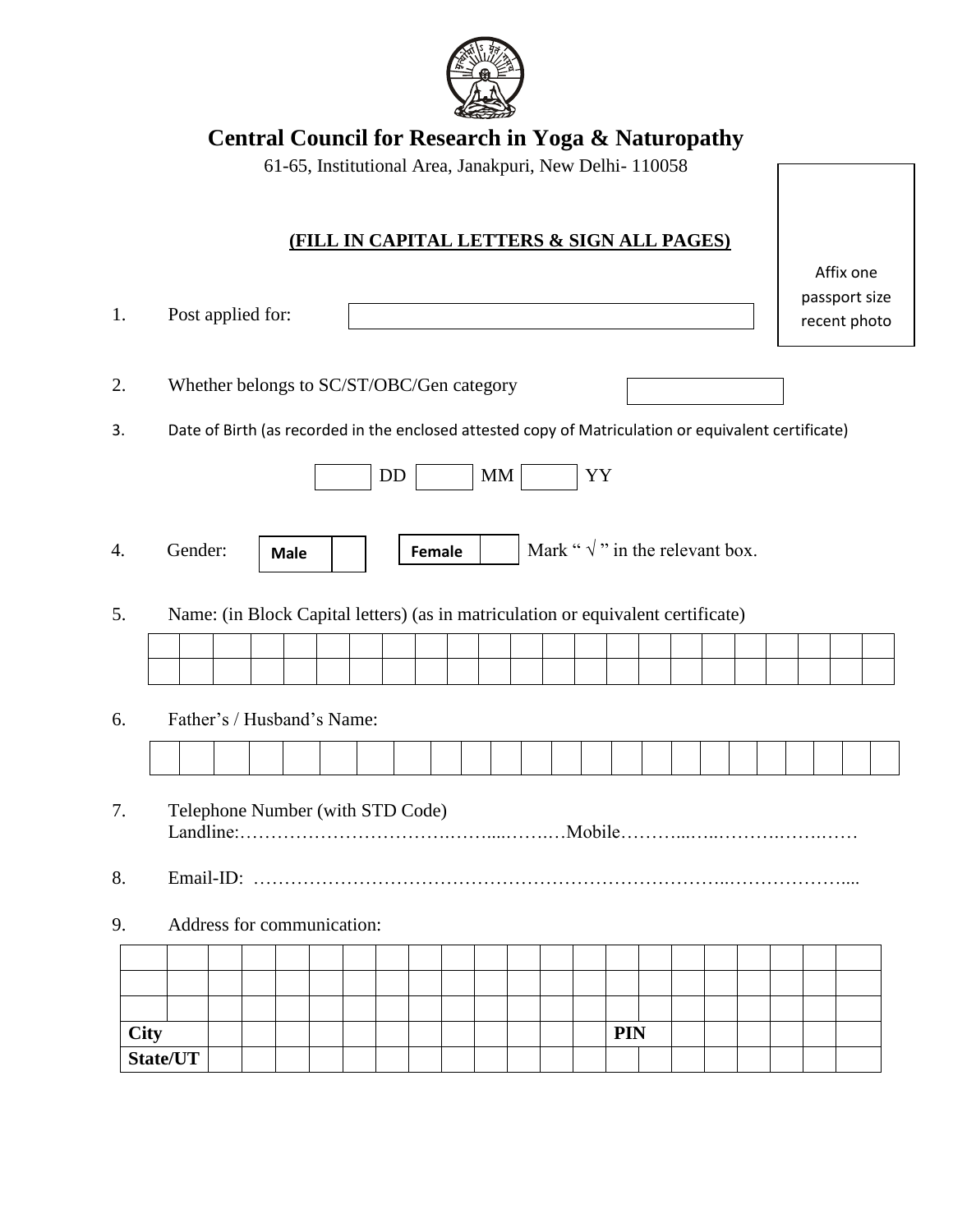

# **Central Council for Research in Yoga & Naturopathy**

|    |                                           |                                                                                                      |  |  | 61-65, Institutional Area, Janakpuri, New Delhi- 110058 |  |  |           |  |  |    |  |                                                       |    |            |  |  |  |                                            |  |
|----|-------------------------------------------|------------------------------------------------------------------------------------------------------|--|--|---------------------------------------------------------|--|--|-----------|--|--|----|--|-------------------------------------------------------|----|------------|--|--|--|--------------------------------------------|--|
|    |                                           |                                                                                                      |  |  |                                                         |  |  |           |  |  |    |  | <u>(FILL IN CAPITAL LETTERS &amp; SIGN ALL PAGES)</u> |    |            |  |  |  |                                            |  |
| 1. |                                           | Post applied for:                                                                                    |  |  |                                                         |  |  |           |  |  |    |  |                                                       |    |            |  |  |  | Affix one<br>passport size<br>recent photo |  |
| 2. | Whether belongs to SC/ST/OBC/Gen category |                                                                                                      |  |  |                                                         |  |  |           |  |  |    |  |                                                       |    |            |  |  |  |                                            |  |
| 3. |                                           | Date of Birth (as recorded in the enclosed attested copy of Matriculation or equivalent certificate) |  |  |                                                         |  |  |           |  |  |    |  |                                                       |    |            |  |  |  |                                            |  |
|    |                                           |                                                                                                      |  |  |                                                         |  |  | <b>DD</b> |  |  | MM |  |                                                       | YY |            |  |  |  |                                            |  |
| 4. |                                           | Mark " $\sqrt{\ }$ " in the relevant box.<br>Gender:<br>Female<br><b>Male</b>                        |  |  |                                                         |  |  |           |  |  |    |  |                                                       |    |            |  |  |  |                                            |  |
| 5. |                                           | Name: (in Block Capital letters) (as in matriculation or equivalent certificate)                     |  |  |                                                         |  |  |           |  |  |    |  |                                                       |    |            |  |  |  |                                            |  |
|    |                                           |                                                                                                      |  |  |                                                         |  |  |           |  |  |    |  |                                                       |    |            |  |  |  |                                            |  |
| 6. |                                           | Father's / Husband's Name:                                                                           |  |  |                                                         |  |  |           |  |  |    |  |                                                       |    |            |  |  |  |                                            |  |
|    |                                           |                                                                                                      |  |  |                                                         |  |  |           |  |  |    |  |                                                       |    |            |  |  |  |                                            |  |
| 7. | Telephone Number (with STD Code)          |                                                                                                      |  |  |                                                         |  |  |           |  |  |    |  |                                                       |    |            |  |  |  |                                            |  |
| 8. |                                           | Email-ID:                                                                                            |  |  |                                                         |  |  |           |  |  |    |  |                                                       |    |            |  |  |  |                                            |  |
| 9. | Address for communication:                |                                                                                                      |  |  |                                                         |  |  |           |  |  |    |  |                                                       |    |            |  |  |  |                                            |  |
|    |                                           |                                                                                                      |  |  |                                                         |  |  |           |  |  |    |  |                                                       |    |            |  |  |  |                                            |  |
|    |                                           |                                                                                                      |  |  |                                                         |  |  |           |  |  |    |  |                                                       |    |            |  |  |  |                                            |  |
|    | <b>City</b>                               |                                                                                                      |  |  |                                                         |  |  |           |  |  |    |  |                                                       |    | <b>PIN</b> |  |  |  |                                            |  |
|    |                                           | State/UT                                                                                             |  |  |                                                         |  |  |           |  |  |    |  |                                                       |    |            |  |  |  |                                            |  |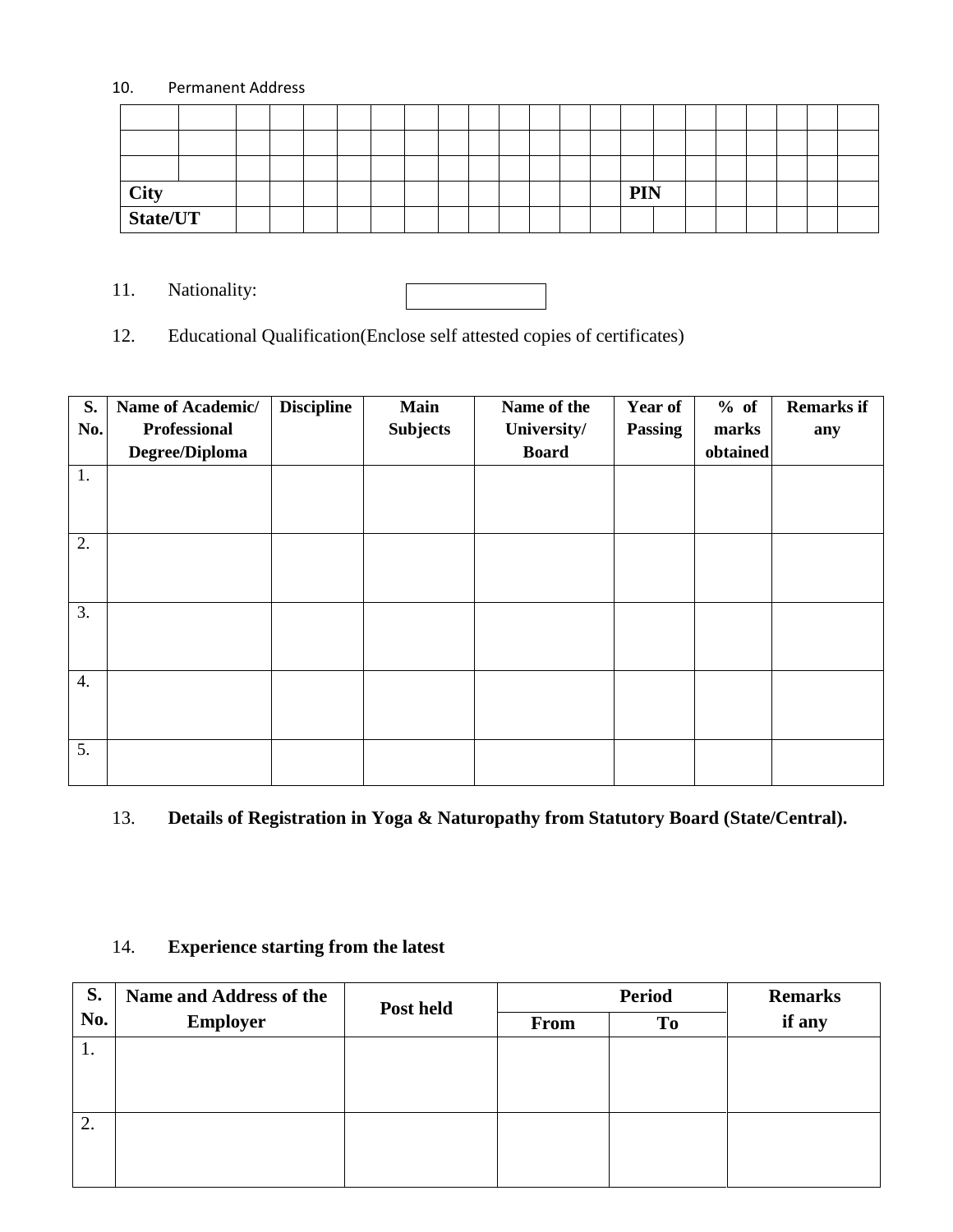#### 10. Permanent Address

| <b>City</b> |  |  |  |  |  |  | <b>PIN</b> |  |  |  |  |
|-------------|--|--|--|--|--|--|------------|--|--|--|--|
| State/UT    |  |  |  |  |  |  |            |  |  |  |  |

11. Nationality:

12. Educational Qualification(Enclose self attested copies of certificates)

| S.               | Name of Academic/ | <b>Discipline</b> | <b>Main</b>     | Name of the  | Year of        | % of     | <b>Remarks if</b> |
|------------------|-------------------|-------------------|-----------------|--------------|----------------|----------|-------------------|
| No.              | Professional      |                   | <b>Subjects</b> | University/  | <b>Passing</b> | marks    | any               |
|                  | Degree/Diploma    |                   |                 | <b>Board</b> |                | obtained |                   |
| 1.               |                   |                   |                 |              |                |          |                   |
|                  |                   |                   |                 |              |                |          |                   |
|                  |                   |                   |                 |              |                |          |                   |
| 2.               |                   |                   |                 |              |                |          |                   |
|                  |                   |                   |                 |              |                |          |                   |
|                  |                   |                   |                 |              |                |          |                   |
| 3.               |                   |                   |                 |              |                |          |                   |
|                  |                   |                   |                 |              |                |          |                   |
|                  |                   |                   |                 |              |                |          |                   |
| $\overline{4}$ . |                   |                   |                 |              |                |          |                   |
|                  |                   |                   |                 |              |                |          |                   |
|                  |                   |                   |                 |              |                |          |                   |
| 5.               |                   |                   |                 |              |                |          |                   |
|                  |                   |                   |                 |              |                |          |                   |

## 13. **Details of Registration in Yoga & Naturopathy from Statutory Board (State/Central).**

## 14. **Experience starting from the latest**

| S.  | Name and Address of the | Post held |             | <b>Remarks</b> |        |  |
|-----|-------------------------|-----------|-------------|----------------|--------|--|
| No. | <b>Employer</b>         |           | <b>From</b> | T <sub>0</sub> | if any |  |
| 1.  |                         |           |             |                |        |  |
|     |                         |           |             |                |        |  |
|     |                         |           |             |                |        |  |
| 2.  |                         |           |             |                |        |  |
|     |                         |           |             |                |        |  |
|     |                         |           |             |                |        |  |